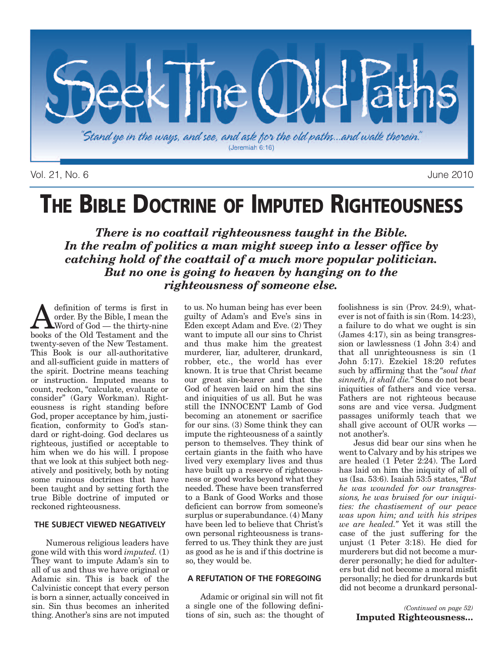

Vol. 21, No. 6 June 2010

# **THE BIBLE DOCTRINE OF IMPUTED RIGHTEOUSNESS**

*There is no coattail righteousness taught in the Bible. In the realm of politics a man might sweep into a lesser office by catching hold of the coattail of a much more popular politician. But no one is going to heaven by hanging on to the righteousness of someone else.*

**A** definition of terms is first in<br>
Word of God — the thirty-nine<br>
hooks of the Old Testament and the order. By the Bible, I mean the books of the Old Testament and the twenty-seven of the New Testament. This Book is our all-authoritative and all-sufficient guide in matters of the spirit. Doctrine means teaching or instruction. Imputed means to count, reckon, "calculate, evaluate or consider" (Gary Workman). Righteousness is right standing before God, proper acceptance by him, justification, conformity to God's standard or right-doing. God declares us righteous, justified or acceptable to him when we do his will.  $\overline{I}$  propose that we look at this subject both negatively and positively, both by noting some ruinous doctrines that have been taught and by setting forth the true Bible doctrine of imputed or reckoned righteousness.

#### **THE SUBJECT VIEWED NEGATIVELY**

Numerous religious leaders have gone wild with this word *imputed.* (1) They want to impute Adam's sin to all of us and thus we have original or Adamic sin. This is back of the Calvinistic concept that every person is born a sinner, actually conceived in sin. Sin thus becomes an inherited thing. Another's sins are not imputed to us. No human being has ever been guilty of Adam's and Eve's sins in Eden except Adam and Eve. (2) They want to impute all our sins to Christ and thus make him the greatest murderer, liar, adulterer, drunkard, robber, etc., the world has ever known. It is true that Christ became our great sin-bearer and that the God of heaven laid on him the sins and iniquities of us all. But he was still the INNOCENT Lamb of God becoming an atonement or sacrifice for our sins. (3) Some think they can impute the righteousness of a saintly person to themselves. They think of certain giants in the faith who have lived very exemplary lives and thus have built up a reserve of righteousness or good works beyond what they needed. These have been transferred to a Bank of Good Works and those deficient can borrow from someone's surplus or superabundance. (4) Many have been led to believe that Christ's own personal righteousness is transferred to us. They think they are just as good as he is and if this doctrine is so, they would be.

#### **A REFUTATION OF THE FOREGOING**

Adamic or original sin will not fit a single one of the following definitions of sin, such as: the thought of foolishness is sin (Prov. 24:9), whatever is not of faith is sin (Rom. 14:23), a failure to do what we ought is sin (James 4:17), sin as being transgression or lawlessness (1 John 3:4) and that all unrighteousness is sin (1 John 5:17). Ezekiel 18:20 refutes such by affirming that the *"soul that sinneth, it shall die."* Sons do not bear iniquities of fathers and vice versa. Fathers are not righteous because sons are and vice versa. Judgment passages uniformly teach that we shall give account of OUR works not another's.

Jesus did bear our sins when he went to Calvary and by his stripes we are healed (1 Peter 2:24). The Lord has laid on him the iniquity of all of us (Isa. 53:6). Isaiah 53:5 states, *"But he was wounded for our transgressions, he was bruised for our iniquities: the chastisement of our peace was upon him; and with his stripes we are healed."* Yet it was still the case of the just suffering for the unjust (1 Peter 3:18). He died for murderers but did not become a murderer personally; he died for adulterers but did not become a moral misfit personally; he died for drunkards but did not become a drunkard personal-

> *(Continued on page 52)* **Imputed Righteousness…**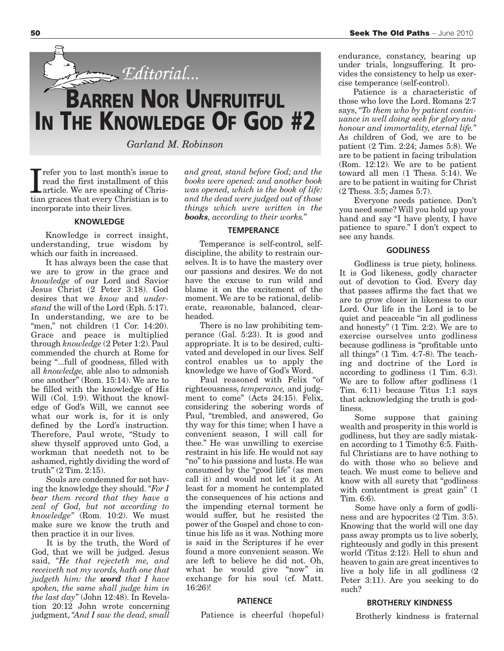

*Garland M. Robinson*

Tefer you to last month's issue to<br>read the first installment of this<br>article. We are speaking of Chris-<br>tian graces that every Christian is to refer you to last month's issue to read the first installment of this article. We are speaking of Chrisincorporate into their lives.

#### **KNOWLEDGE**

Knowledge is correct insight, understanding, true wisdom by which our faith in increased.

It has always been the case that we are to grow in the grace and *knowledge* of our Lord and Savior Jesus Christ (2 Peter 3:18). God desires that we *know* and *understand* the will of the Lord (Eph. 5:17). In understanding, we are to be "men," not children (1 Cor. 14:20). Grace and peace is multiplied through *knowledge* (2 Peter 1:2). Paul commended the church at Rome for being "...full of goodness, filled with all *knowledge,* able also to admonish one another" (Rom. 15:14). We are to be filled with the knowledge of His Will (Col. 1:9). Without the knowledge of God's Will, we cannot see what our work is, for it is only defined by the Lord's instruction. Therefore, Paul wrote, "Study to shew thyself approved unto God, a workman that needeth not to be ashamed, rightly dividing the word of truth" (2 Tim. 2:15).

Souls are condemned for not having the knowledge they should. *"For I bear them record that they have a zeal of God, but not according to knowledge"* (Rom. 10:2). We must make sure we know the truth and then practice it in our lives.

It is by the truth, the Word of God, that we will be judged. Jesus said, *"He that rejecteth me, and receiveth not my words, hath one that judgeth him: the word that I have spoken, the same shall judge him in the last day"* (John 12:48). In Revelation 20:12 John wrote concerning judgment, *"And I saw the dead, small* *and great, stand before God; and the books were opened: and another book was opened, which is the book of life: and the dead were judged out of those things which were written in the books, according to their works."*

#### **TEMPERANCE**

Temperance is self-control, selfdiscipline, the ability to restrain ourselves. It is to have the mastery over our passions and desires. We do not have the excuse to run wild and blame it on the excitement of the moment. We are to be rational, deliberate, reasonable, balanced, clearheaded.

There is no law prohibiting temperance (Gal. 5:23). It is good and appropriate. It is to be desired, cultivated and developed in our lives. Self control enables us to apply the knowledge we have of God's Word.

Paul reasoned with Felix "of righteousness, *temperance,* and judgment to come" (Acts 24:15). Felix, considering the sobering words of Paul, "trembled, and answered, Go thy way for this time; when I have a convenient season, I will call for thee." He was unwilling to exercise restraint in his life. He would not say "no"to his passions and lusts. He was consumed by the "good life" (as men call it) and would not let it go. At least for a moment he contemplated the consequences of his actions and the impending eternal torment he would suffer, but he resisted the power of the Gospel and chose to continue his life as it was. Nothing more is said in the Scriptures if he ever found a more convenient season. We are left to believe he did not. Oh, what he would give "now" in exchange for his soul (cf. Matt. 16:26)!

#### **PATIENCE**

Patience is cheerful (hopeful)

endurance, constancy, bearing up under trials, longsuffering. It provides the consistency to help us exercise temperance (self-control).

Patience is a characteristic of those who love the Lord. Romans 2:7 says, *"To them who by patient continuance in well doing seek for glory and honour and immortality, eternal life."* As children of God, we are to be patient (2 Tim. 2:24; James 5:8). We are to be patient in facing tribulation (Rom. 12:12). We are to be patient toward all men (1 Thess. 5:14). We are to be patient in waiting for Christ (2 Thess. 3:5; James 5:7).

Everyone needs patience. Don't you need some? Will you hold up your hand and say "I have plenty, I have patience to spare." I don't expect to see any hands.

#### **GODLINESS**

Godliness is true piety, holiness. It is God likeness, godly character out of devotion to God. Every day that passes affirms the fact that we are to grow closer in likeness to our Lord. Our life in the Lord is to be quiet and peaceable "in all godliness and honesty" (1 Tim. 2:2). We are to exercise ourselves unto godliness because godliness is "profitable unto all things" (1 Tim. 4:7-8). The teaching and doctrine of the Lord is according to godliness (1 Tim. 6:3). We are to follow after godliness (1 Tim. 6:11) because Titus 1:1 says that acknowledging the truth is godliness.

Some suppose that gaining wealth and prosperity in this world is godliness, but they are sadly mistaken according to 1 Timothy 6:5. Faithful Christians are to have nothing to do with those who so believe and teach. We must come to believe and know with all surety that "godliness with contentment is great gain" (1) Tim. 6:6).

Some have only a form of godliness and are hypocrites (2 Tim. 3:5). Knowing that the world will one day pass away prompts us to live soberly, righteously and godly in this present world (Titus 2:12). Hell to shun and heaven to gain are great incentives to live a holy life in all godliness (2 Peter 3:11). Are you seeking to do such?

#### **BROTHERLY KINDNESS**

Brotherly kindness is fraternal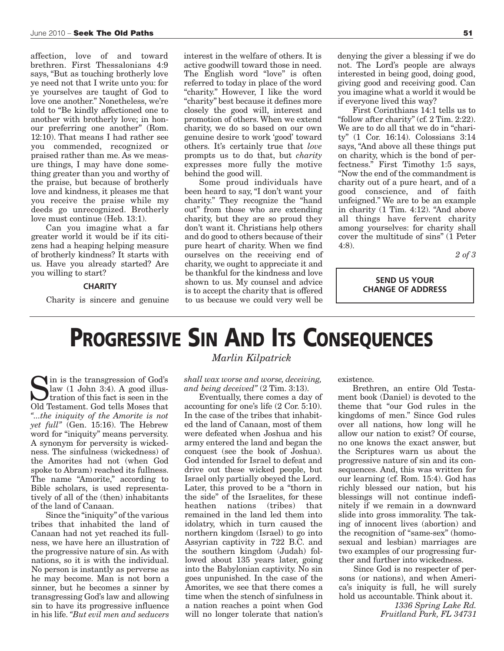affection, love of and toward brethren. First Thessalonians 4:9 says, "But as touching brotherly love ye need not that I write unto you: for ye yourselves are taught of God to love one another." Nonetheless, we're told to "Be kindly affectioned one to another with brotherly love; in honour preferring one another" (Rom. 12:10). That means I had rather see you commended, recognized or praised rather than me. As we measure things, I may have done something greater than you and worthy of the praise, but because of brotherly love and kindness, it pleases me that you receive the praise while my deeds go unrecognized. Brotherly love must continue (Heb. 13:1).

Can you imagine what a far greater world it would be if its citizens had a heaping helping measure of brotherly kindness? It starts with us. Have you already started? Are you willing to start?

#### **CHARITY**

Charity is sincere and genuine

interest in the welfare of others. It is active goodwill toward those in need. The English word "love" is often referred to today in place of the word "charity." However, I like the word "charity" best because it defines more closely the good will, interest and promotion of others. When we extend charity, we do so based on our own genuine desire to work 'good' toward others. It's certainly true that *love* prompts us to do that, but *charity* expresses more fully the motive behind the good will.

Some proud individuals have been heard to say, "I don't want your charity." They recognize the "hand out" from those who are extending charity, but they are so proud they don't want it. Christians help others and do good to others because of their pure heart of charity. When we find ourselves on the receiving end of charity, we ought to appreciate it and be thankful for the kindness and love shown to us. My counsel and advice is to accept the charity that is offered to us because we could very well be denying the giver a blessing if we do not. The Lord's people are always interested in being good, doing good, giving good and receiving good. Can you imagine what a world it would be if everyone lived this way?

First Corinthians 14:1 tells us to "follow after charity" (cf. 2 Tim. 2:22). We are to do all that we do in "charity" (1 Cor. 16:14). Colossians 3:14 says, "And above all these things put on charity, which is the bond of perfectness." First Timothy 1:5 says, "Now the end of the commandment is charity out of a pure heart, and of a good conscience, and of faith unfeigned." We are to be an example in charity (1 Tim. 4:12). "And above all things have fervent charity among yourselves: for charity shall cover the multitude of sins" (1 Peter 4:8).

*2 of 3*

**SEND US YOUR CHANGE OF ADDRESS**

### **PROGRESSIVE SIN AND ITS CONSEQUENCES**

Sin is the transgression of God's<br>law (1 John 3:4). A good illus-<br>tration of this fact is seen in the<br>Old Testament God tells Moses that law (1 John 3:4). A good illus-Itration of this fact is seen in the Old Testament. God tells Moses that *"...the iniquity of the Amorite is not yet full"* (Gen. 15:16). The Hebrew word for "iniquity" means perversity. A synonym for perversity is wickedness. The sinfulness (wickedness) of the Amorites had not (when God spoke to Abram) reached its fullness. The name "Amorite," according to Bible scholars, is used representatively of all of the (then) inhabitants of the land of Canaan.

Since the "iniquity" of the various tribes that inhabited the land of Canaan had not yet reached its fullness, we have here an illustration of the progressive nature of sin. As with nations, so it is with the individual. No person is instantly as perverse as he may become. Man is not born a sinner, but he becomes a sinner by transgressing God's law and allowing sin to have its progressive influence in his life. *"But evil men and seducers*

#### *Marlin Kilpatrick*

*shall wax worse and worse, deceiving, and being deceived"* (2 Tim. 3:13).

Eventually, there comes a day of accounting for one's life (2 Cor. 5:10). In the case of the tribes that inhabited the land of Canaan, most of them were defeated when Joshua and his army entered the land and began the conquest (see the book of Joshua). God intended for Israel to defeat and drive out these wicked people, but Israel only partially obeyed the Lord. Later, this proved to be a "thorn in the side" of the Israelites, for these<br>heathen nations (tribes) that heathen nations (tribes) that remained in the land led them into idolatry, which in turn caused the northern kingdom (Israel) to go into Assyrian captivity in 722 B.C. and the southern kingdom (Judah) followed about 135 years later, going into the Babylonian captivity. No sin goes unpunished. In the case of the Amorites, we see that there comes a time when the stench of sinfulness in a nation reaches a point when God will no longer tolerate that nation's existence.

Brethren, an entire Old Testament book (Daniel) is devoted to the theme that "our God rules in the kingdoms of men." Since God rules over all nations, how long will he allow our nation to exist? Of course, no one knows the exact answer, but the Scriptures warn us about the progressive nature of sin and its consequences. And, this was written for our learning (cf. Rom. 15:4). God has richly blessed our nation, but his blessings will not continue indefinitely if we remain in a downward slide into gross immorality. The taking of innocent lives (abortion) and the recognition of "same-sex" (homosexual and lesbian) marriages are two examples of our progressing further and further into wickedness.

Since God is no respecter of persons (or nations), and when America's iniquity is full, he will surely hold us accountable. Think about it.

> *1336 Spring Lake Rd. Fruitland Park, FL 34731*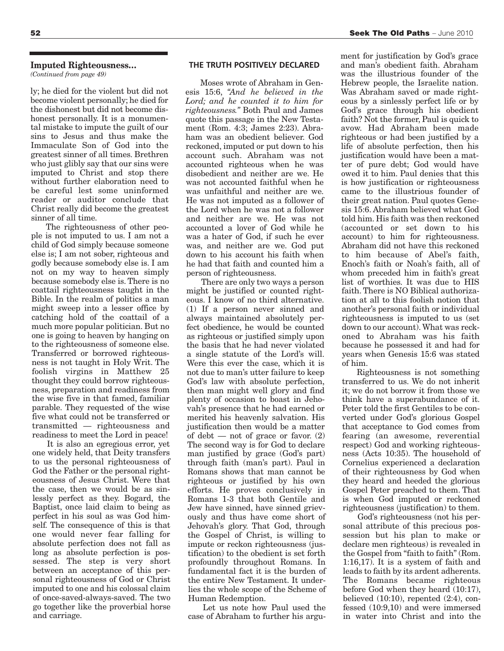ly; he died for the violent but did not become violent personally; he died for the dishonest but did not become dishonest personally. It is a monumental mistake to impute the guilt of our sins to Jesus and thus make the Immaculate Son of God into the greatest sinner of all times. Brethren who just glibly say that our sins were imputed to Christ and stop there without further elaboration need to be careful lest some uninformed reader or auditor conclude that Christ really did become the greatest sinner of all time.

The righteousness of other people is not imputed to us. I am not a child of God simply because someone else is; I am not sober, righteous and godly because somebody else is. I am not on my way to heaven simply because somebody else is. There is no coattail righteousness taught in the Bible. In the realm of politics a man might sweep into a lesser office by catching hold of the coattail of a much more popular politician. But no one is going to heaven by hanging on to the righteousness of someone else. Transferred or borrowed righteousness is not taught in Holy Writ. The foolish virgins in Matthew 25 thought they could borrow righteousness, preparation and readiness from the wise five in that famed, familiar parable. They requested of the wise five what could not be transferred or transmitted — righteousness and readiness to meet the Lord in peace!

It is also an egregious error, yet one widely held, that Deity transfers to us the personal righteousness of God the Father or the personal righteousness of Jesus Christ. Were that the case, then we would be as sinlessly perfect as they. Bogard, the Baptist, once laid claim to being as perfect in his soul as was God himself. The consequence of this is that one would never fear falling for absolute perfection does not fall as long as absolute perfection is possessed. The step is very short between an acceptance of this personal righteousness of God or Christ imputed to one and his colossal claim of once-saved-always-saved. The two go together like the proverbial horse and carriage.

#### **THE TRUTH POSITIVELY DECLARED**

Moses wrote of Abraham in Genesis 15:6, *"And he believed in the Lord; and he counted it to him for righteousness."* Both Paul and James quote this passage in the New Testament (Rom. 4:3; James 2:23). Abraham was an obedient believer. God reckoned, imputed or put down to his account such. Abraham was not accounted righteous when he was disobedient and neither are we. He was not accounted faithful when he was unfaithful and neither are we. He was not imputed as a follower of the Lord when he was not a follower and neither are we. He was not accounted a lover of God while he was a hater of God, if such he ever was, and neither are we. God put down to his account his faith when he had that faith and counted him a person of righteousness.

There are only two ways a person might be justified or counted righteous. I know of no third alternative. (1) If a person never sinned and always maintained absolutely perfect obedience, he would be counted as righteous or justified simply upon the basis that he had never violated a single statute of the Lord's will. Were this ever the case, which it is not due to man's utter failure to keep God's law with absolute perfection, then man might well glory and find plenty of occasion to boast in Jehovah's presence that he had earned or merited his heavenly salvation. His justification then would be a matter of debt — not of grace or favor.  $(2)$ The second way is for God to declare man justified by grace (God's part) through faith (man's part). Paul in Romans shows that man cannot be righteous or justified by his own efforts. He proves conclusively in Romans 1-3 that both Gentile and Jew have sinned, have sinned grievously and thus have come short of Jehovah's glory. That God, through the Gospel of Christ, is willing to impute or reckon righteousness (justification) to the obedient is set forth profoundly throughout Romans. In fundamental fact it is the burden of the entire New Testament. It underlies the whole scope of the Scheme of Human Redemption.

Let us note how Paul used the case of Abraham to further his argu-

ment for justification by God's grace and man's obedient faith. Abraham was the illustrious founder of the Hebrew people, the Israelite nation. Was Abraham saved or made righteous by a sinlessly perfect life or by God's grace through his obedient faith? Not the former, Paul is quick to avow. Had Abraham been made righteous or had been justified by a life of absolute perfection, then his justification would have been a matter of pure debt; God would have owed it to him. Paul denies that this is how justification or righteousness came to the illustrious founder of their great nation. Paul quotes Genesis 15:6. Abraham believed what God told him. His faith was then reckoned (accounted or set down to his account) to him for righteousness. Abraham did not have this reckoned to him because of Abel's faith, Enoch's faith or Noah's faith, all of whom preceded him in faith's great list of worthies. It was due to HIS faith. There is NO Biblical authorization at all to this foolish notion that another's personal faith or individual righteousness is imputed to us (set down to our account).What was reckoned to Abraham was his faith because he possessed it and had for years when Genesis 15:6 was stated of him.

Righteousness is not something transferred to us. We do not inherit it; we do not borrow it from those we think have a superabundance of it. Peter told the first Gentiles to be converted under God's glorious Gospel that acceptance to God comes from fearing (an awesome, reverential respect) God and working righteousness (Acts 10:35). The household of Cornelius experienced a declaration of their righteousness by God when they heard and heeded the glorious Gospel Peter preached to them. That is when God imputed or reckoned righteousness (justification) to them.

God's righteousness (not his personal attribute of this precious possession but his plan to make or declare men righteous) is revealed in the Gospel from "faith to faith" (Rom. 1:16,17). It is a system of faith and leads to faith by its ardent adherents. The Romans became righteous before God when they heard (10:17), believed  $(10:10)$ , repented  $(2:4)$ , confessed (10:9,10) and were immersed in water into Christ and into the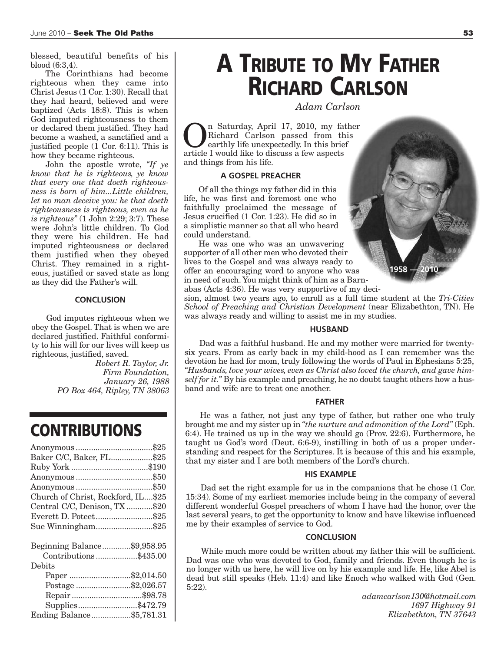blessed, beautiful benefits of his blood (6:3,4).

The Corinthians had become righteous when they came into Christ Jesus (1 Cor. 1:30). Recall that they had heard, believed and were baptized (Acts 18:8). This is when God imputed righteousness to them or declared them justified. They had become a washed, a sanctified and a justified people (1 Cor. 6:11). This is how they became righteous.

John the apostle wrote, *"If ye know that he is righteous, ye know that every one that doeth righteousness is born of him...Little children, let no man deceive you: he that doeth righteousness is righteous, even as he is righteous"* (1 John 2:29; 3:7). These were John's little children. To God they were his children. He had imputed righteousness or declared them justified when they obeyed Christ. They remained in a righteous, justified or saved state as long as they did the Father's will.

#### **CONCLUSION**

God imputes righteous when we obey the Gospel. That is when we are declared justified. Faithful conformity to his will for our lives will keep us righteous, justified, saved.

*Robert R. Taylor, Jr. Firm Foundation, January 26, 1988 PO Box 464, Ripley, TN 38063*

### **CONTRIBUTIONS**

| Baker C/C, Baker, FL\$25           |  |
|------------------------------------|--|
|                                    |  |
|                                    |  |
|                                    |  |
| Church of Christ, Rockford, IL\$25 |  |
| Central C/C, Denison, TX\$20       |  |
| Everett D. Poteet\$25              |  |
| Sue Winningham\$25                 |  |
|                                    |  |
| Beginning Balance\$9,958.95        |  |
| Contributions\$435.00              |  |
| Debits                             |  |
| Paper \$2,014.50                   |  |
| Postage \$2,026.57                 |  |
| Repair\$98.78                      |  |
| Supplies\$472.79                   |  |
| Ending Balance\$5,781.31           |  |

## **A TRIBUTE TO MY FATHER RICHARD CARLSON**

*Adam Carlson*

n Saturday, April 17, 2010, my father Richard Carlson passed from this earthly life unexpectedly. In this brief article I would like to discuss a few aspects and things from his life.

#### **A GOSPEL PREACHER**

Of all the things my father did in this life, he was first and foremost one who faithfully proclaimed the message of Jesus crucified (1 Cor. 1:23). He did so in a simplistic manner so that all who heard could understand.

He was one who was an unwavering supporter of all other men who devoted their lives to the Gospel and was always ready to offer an encouraging word to anyone who was in need of such. You might think of him as a Barnabas (Acts 4:36). He was very supportive of my deci-

sion, almost two years ago, to enroll as a full time student at the *Tri-Cities School of Preaching and Christian Development* (near Elizabethton, TN). He was always ready and willing to assist me in my studies.

**1958 — 2010**

#### **HUSBAND**

Dad was a faithful husband. He and my mother were married for twentysix years. From as early back in my child-hood as I can remember was the devotion he had for mom, truly following the words of Paul in Ephesians 5:25, *"Husbands, love your wives, even as Christ also loved the church, and gave himself for it."* By his example and preaching, he no doubt taught others how a husband and wife are to treat one another.

#### **FATHER**

He was a father, not just any type of father, but rather one who truly brought me and my sister up in *"the nurture and admonition of the Lord"* (Eph. 6:4). He trained us up in the way we should go (Prov. 22:6). Furthermore, he taught us God's word (Deut. 6:6-9), instilling in both of us a proper understanding and respect for the Scriptures. It is because of this and his example, that my sister and I are both members of the Lord's church.

#### **HIS EXAMPLE**

Dad set the right example for us in the companions that he chose (1 Cor. 15:34). Some of my earliest memories include being in the company of several different wonderful Gospel preachers of whom I have had the honor, over the last several years, to get the opportunity to know and have likewise influenced me by their examples of service to God.

#### **CONCLUSION**

While much more could be written about my father this will be sufficient. Dad was one who was devoted to God, family and friends. Even though he is no longer with us here, he will live on by his example and life. He, like Abel is dead but still speaks (Heb. 11:4) and like Enoch who walked with God (Gen. 5:22).

> *adamcarlson130@hotmail.com 1697 Highway 91 Elizabethton, TN 37643*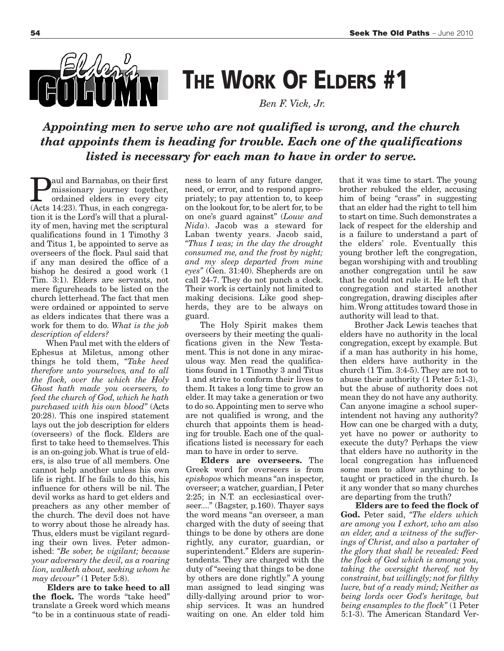

**THE WORK OF ELDERS #1**

 *Ben F. Vick, Jr.*

*Appointing men to serve who are not qualified is wrong, and the church that appoints them is heading for trouble. Each one of the qualifications listed is necessary for each man to have in order to serve.*

**Paul and Barnabas, on their first**<br>missionary journey together,<br>ordained elders in every city<br>(Acts 14:23) Thus in each congregamissionary journey together, (Acts 14:23). Thus, in each congregation it is the Lord's will that a plurality of men, having met the scriptural qualifications found in 1 Timothy 3 and Titus 1, be appointed to serve as overseers of the flock. Paul said that if any man desired the office of a bishop he desired a good work (1 Tim. 3:1). Elders are servants, not mere figureheads to be listed on the church letterhead. The fact that men were ordained or appointed to serve as elders indicates that there was a work for them to do. *What is the job description of elders?*

When Paul met with the elders of Ephesus at Miletus, among other things he told them, *"Take heed therefore unto yourselves, and to all the flock, over the which the Holy Ghost hath made you overseers, to feed the church of God, which he hath purchased with his own blood"* (Acts 20:28). This one inspired statement lays out the job description for elders (overseers) of the flock. Elders are first to take heed to themselves. This is an on-going job.What is true of elders, is also true of all members. One cannot help another unless his own life is right. If he fails to do this, his influence for others will be nil. The devil works as hard to get elders and preachers as any other member of the church. The devil does not have to worry about those he already has. Thus, elders must be vigilant regarding their own lives. Peter admonished: *"Be sober, be vigilant; because your adversary the devil, as a roaring lion, walketh about, seeking whom he may devour"* (1 Peter 5:8).

**Elders are to take heed to all the flock.** The words "take heed" translate a Greek word which means "to be in a continuous state of readiness to learn of any future danger, need, or error, and to respond appropriately; to pay attention to, to keep on the lookout for,to be alert for,to be on one's guard against" (*Louw and Nida*). Jacob was a steward for Laban twenty years. Jacob said, *"Thus I was; in the day the drought consumed me, and the frost by night; and my sleep departed from mine eyes"* (Gen. 31:40). Shepherds are on call 24-7. They do not punch a clock. Their work is certainly not limited to making decisions. Like good shepherds, they are to be always on guard.

The Holy Spirit makes them overseers by their meeting the qualifications given in the New Testament. This is not done in any miraculous way. Men read the qualifications found in 1 Timothy 3 and Titus 1 and strive to conform their lives to them. It takes a long time to grow an elder. It may take a generation or two to do so.Appointing men to serve who are not qualified is wrong, and the church that appoints them is heading for trouble. Each one of the qualifications listed is necessary for each man to have in order to serve.

**Elders are overseers.** The Greek word for overseers is from *episkopos* which means "an inspector, overseer; a watcher, guardian, I Peter 2:25; in N.T. an ecclesiastical overseer...." (Bagster, p.160). Thayer says the word means "an overseer, a man charged with the duty of seeing that things to be done by others are done rightly, any curator, guardian, or superintendent." Elders are superintendents. They are charged with the duty of "seeing that things to be done by others are done rightly." A young man assigned to lead singing was dilly-dallying around prior to worship services. It was an hundred waiting on one. An elder told him that it was time to start. The young brother rebuked the elder, accusing him of being "crass" in suggesting that an elder had the right to tell him to start on time. Such demonstrates a lack of respect for the eldership and is a failure to understand a part of the elders' role. Eventually this young brother left the congregation, began worshiping with and troubling another congregation until he saw that he could not rule it. He left that congregation and started another congregation, drawing disciples after him.Wrong attitudes toward those in authority will lead to that.

Brother Jack Lewis teaches that elders have no authority in the local congregation, except by example. But if a man has authority in his home, then elders have authority in the church (1 Tim. 3:4-5). They are not to abuse their authority (1 Peter 5:1-3), but the abuse of authority does not mean they do not have any authority. Can anyone imagine a school superintendent not having any authority? How can one be charged with a duty, yet have no power or authority to execute the duty? Perhaps the view that elders have no authority in the local congregation has influenced some men to allow anything to be taught or practiced in the church. Is it any wonder that so many churches are departing from the truth?

**Elders are to feed the flock of God.** Peter said, *"The elders which are among you I exhort, who am also an elder, and a witness of the sufferings of Christ, and also a partaker of the glory that shall be revealed: Feed the flock of God which is among you, taking the oversight thereof, not by constraint, but willingly; not for filthy lucre, but of a ready mind; Neither as being lords over God's heritage, but being ensamples to the flock"* (1 Peter 5:1-3). The American Standard Ver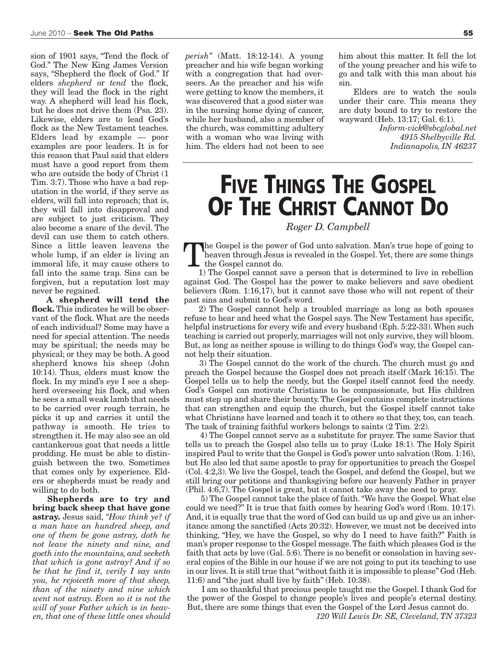sion of 1901 says, "Tend the flock of God." The New King James Version says, "Shepherd the flock of God." If elders *shepherd* or *tend* the flock, they will lead the flock in the right way. A shepherd will lead his flock, but he does not drive them (Psa. 23). Likewise, elders are to lead God's flock as the New Testament teaches. Elders lead by example — poor examples are poor leaders. It is for this reason that Paul said that elders must have a good report from them who are outside the body of Christ (1 Tim. 3:7). Those who have a bad reputation in the world, if they serve as elders, will fall into reproach; that is, they will fall into disapproval and are subject to just criticism. They also become a snare of the devil. The devil can use them to catch others. Since a little leaven leavens the whole lump, if an elder is living an immoral life, it may cause others to fall into the same trap. Sins can be forgiven, but a reputation lost may never be regained.

**A shepherd will tend the flock.** This indicates he will be observant of the flock. What are the needs of each individual? Some may have a need for special attention. The needs may be spiritual; the needs may be physical; or they may be both. A good shepherd knows his sheep (John 10:14). Thus, elders must know the flock. In my mind's eye I see a shepherd overseeing his flock, and when he sees a small weak lamb that needs to be carried over rough terrain, he picks it up and carries it until the pathway is smooth. He tries to strengthen it. He may also see an old cantankerous goat that needs a little prodding. He must be able to distinguish between the two. Sometimes that comes only by experience. Elders or shepherds must be ready and willing to do both.

**Shepherds are to try and bring back sheep that have gone astray.** Jesus said, *"How think ye? if a man have an hundred sheep, and one of them be gone astray, doth he not leave the ninety and nine, and goeth into the mountains, and seeketh that which is gone astray? And if so be that he find it, verily I say unto you, he rejoiceth more of that sheep, than of the ninety and nine which went not astray. Even so it is not the will of your Father which is in heaven, that one of these little ones should*

*perish"* (Matt. 18:12-14). A young preacher and his wife began working with a congregation that had overseers. As the preacher and his wife were getting to know the members, it was discovered that a good sister was in the nursing home dying of cancer, while her husband, also a member of the church, was committing adultery with a woman who was living with him. The elders had not been to see

him about this matter. It fell the lot of the young preacher and his wife to go and talk with this man about his sin.

Elders are to watch the souls under their care. This means they are duty bound to try to restore the wayward (Heb. 13:17; Gal. 6:1).

> *Inform-vick@sbcglobal.net 4915 Shelbyville Rd. Indianapolis, IN 46237*

## **FIVE THINGS THE GOSPEL OF THE CHRIST CANNOT DO**

#### *Roger D. Campbell*

The Gospel is the power of God unto salvation. Man's true hope of going to heaven through Jesus is revealed in the Gospel. Yet, there are some things the Gospel cannot do.

1) The Gospel cannot save a person that is determined to live in rebellion against God. The Gospel has the power to make believers and save obedient believers (Rom. 1:16,17), but it cannot save those who will not repent of their past sins and submit to God's word.

2) The Gospel cannot help a troubled marriage as long as both spouses refuse to hear and heed what the Gospel says. The New Testament has specific, helpful instructions for every wife and every husband (Eph. 5:22-33). When such teaching is carried out properly, marriages will not only survive, they will bloom. But, as long as neither spouse is willing to do things God's way, the Gospel cannot help their situation.

3) The Gospel cannot do the work of the church. The church must go and preach the Gospel because the Gospel does not preach itself (Mark 16:15). The Gospel tells us to help the needy, but the Gospel itself cannot feed the needy. God's Gospel can motivate Christians to be compassionate, but His children must step up and share their bounty. The Gospel contains complete instructions that can strengthen and equip the church, but the Gospel itself cannot take what Christians have learned and teach it to others so that they, too, can teach. The task of training faithful workers belongs to saints (2 Tim. 2:2).

4) The Gospel cannot serve as a substitute for prayer. The same Savior that tells us to preach the Gospel also tells us to pray (Luke 18:1). The Holy Spirit inspired Paul to write that the Gospel is God's power unto salvation (Rom. 1:16), but He also led that same apostle to pray for opportunities to preach the Gospel (Col. 4:2,3). We live the Gospel, teach the Gospel, and defend the Gospel, but we still bring our petitions and thanksgiving before our heavenly Father in prayer (Phil. 4:6,7). The Gospel is great, but it cannot take away the need to pray.

5) The Gospel cannot take the place of faith."We have the Gospel. What else could we need?" It is true that faith comes by hearing God's word (Rom. 10:17). And, it is equally true that the word of God can build us up and give us an inheritance among the sanctified (Acts 20:32). However, we must not be deceived into thinking, "Hey, we have the Gospel, so why do I need to have faith?" Faith is man's proper response to the Gospel message.The faith which pleases God is the faith that acts by love (Gal. 5:6). There is no benefit or consolation in having several copies of the Bible in our house if we are not going to put its teaching to use in our lives. It is still true that"without faith it is impossible to please" God (Heb. 11:6) and "the just shall live by faith" (Heb. 10:38).

I am so thankful that precious people taught me the Gospel. I thank God for the power of the Gospel to change people's lives and people's eternal destiny. But, there are some things that even the Gospel of the Lord Jesus cannot do.

*120 Will Lewis Dr. SE, Cleveland, TN 37323*